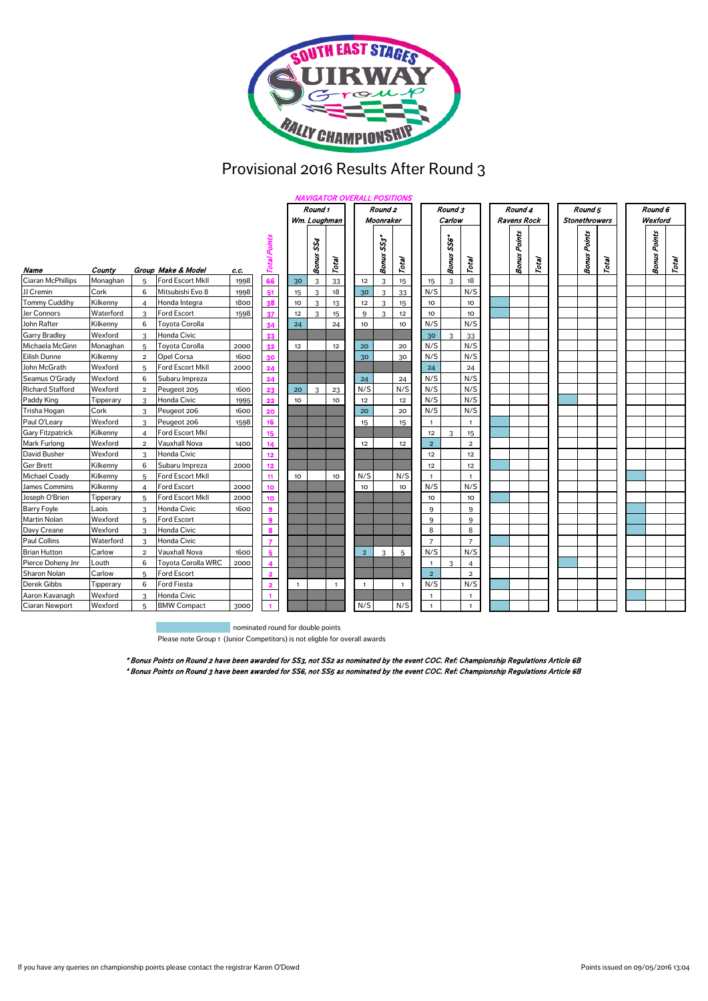

## Provisional 2016 Results After Round 3

|                         |           |                |                         |      |                     | <b>NAVIGATOR OVERALL POSITIONS</b> |                                 |              |                |                        |              |                 |                       |                 |  |                        |               |  |                     |         |  |                        |       |  |
|-------------------------|-----------|----------------|-------------------------|------|---------------------|------------------------------------|---------------------------------|--------------|----------------|------------------------|--------------|-----------------|-----------------------|-----------------|--|------------------------|---------------|--|---------------------|---------|--|------------------------|-------|--|
|                         |           |                |                         |      |                     | Round 1                            |                                 |              |                | Round <sub>2</sub>     |              |                 | Round 3               |                 |  | Round 4                |               |  | Round 5             |         |  | Round 6                |       |  |
|                         |           |                |                         |      |                     | Wm. Loughman<br>Moonraker          |                                 |              |                |                        | Carlow       |                 | <b>Ravens Rock</b>    |                 |  |                        | Stonethrowers |  |                     | Wexford |  |                        |       |  |
| Name                    | County    |                | Group Make & Model      | c.c. | <b>Total Points</b> |                                    | SS <sub>4</sub><br><b>Bonus</b> | Total        |                | $ss^*$<br><b>Bonus</b> | Total        |                 | \$56*<br><b>Bonus</b> | Total           |  | Points<br><b>Bonus</b> | Total         |  | <b>Bonus Points</b> | Total   |  | Points<br><b>Bonus</b> | Total |  |
| Ciaran McPhillips       | Monaghan  | 5              | <b>Ford Escort MkII</b> | 1998 | 66                  | 30                                 | 3                               | 33           | 12             | 3                      | 15           | 15              | 3                     | 18              |  |                        |               |  |                     |         |  |                        |       |  |
| JJ Cremin               | Cork      | 6              | Mitsubishi Evo 8        | 1998 | 51                  | 15                                 | 3                               | 18           | 30             | 3                      | 33           | N/S             |                       | N/S             |  |                        |               |  |                     |         |  |                        |       |  |
| <b>Tommy Cuddihy</b>    | Kilkenny  | 4              | Honda Integra           | 1800 | ٦8                  | 10                                 | 3                               | 13           | 12             | 3                      | 15           | 10              |                       | 10 <sub>o</sub> |  |                        |               |  |                     |         |  |                        |       |  |
| Jer Connors             | Waterford | 3              | Ford Escort             | 1598 | 37                  | 12                                 | 3                               | 15           | 9              | 3                      | 12           | 10              |                       | 10              |  |                        |               |  |                     |         |  |                        |       |  |
| John Rafter             | Kilkenny  | 6              | Tovota Corolla          |      |                     | 24                                 |                                 | 24           | 10             |                        | 10           | N/S             |                       | N/S             |  |                        |               |  |                     |         |  |                        |       |  |
| <b>Garry Bradley</b>    | Wexford   | 3              | Honda Civic             |      |                     |                                    |                                 |              |                |                        |              | 30 <sup>°</sup> | 3                     | 33              |  |                        |               |  |                     |         |  |                        |       |  |
| Michaela McGinn         | Monaghan  | 5              | Toyota Corolla          | 2000 | 32                  | 12                                 |                                 | 12           | 20             |                        | 20           | N/S             |                       | N/S             |  |                        |               |  |                     |         |  |                        |       |  |
| Eilish Dunne            | Kilkenny  | $\overline{2}$ | <b>Opel Corsa</b>       | 1600 |                     |                                    |                                 |              | 30             |                        | 30           | N/S             |                       | N/S             |  |                        |               |  |                     |         |  |                        |       |  |
| John McGrath            | Wexford   | 5              | Ford Escort MkII        | 2000 |                     |                                    |                                 |              |                |                        |              | 24              |                       | 24              |  |                        |               |  |                     |         |  |                        |       |  |
| Seamus O'Grady          | Wexford   | 6              | Subaru Impreza          |      | 24                  |                                    |                                 |              | 24             |                        | 24           | N/S             |                       | N/S             |  |                        |               |  |                     |         |  |                        |       |  |
| <b>Richard Stafford</b> | Wexford   | $\overline{2}$ | Peugeot 205             | 1600 |                     | 20                                 | 3                               | 23           | N/S            |                        | N/S          | N/S             |                       | N/S             |  |                        |               |  |                     |         |  |                        |       |  |
| Paddy King              | Tipperary | 3              | Honda Civic             | 1995 | 22                  | 10                                 |                                 | 10           | 12             |                        | 12           | N/S             |                       | N/S             |  |                        |               |  |                     |         |  |                        |       |  |
| Trisha Hogan            | Cork      | 3              | Peugeot 206             | 1600 | 20                  |                                    |                                 |              | 20             |                        | 20           | N/S             |                       | N/S             |  |                        |               |  |                     |         |  |                        |       |  |
| Paul O'Leary            | Wexford   | 3              | Peugeot 206             | 1598 | 16                  |                                    |                                 |              | 15             |                        | 15           | $\mathbf{1}$    |                       | $\mathbf{1}$    |  |                        |               |  |                     |         |  |                        |       |  |
| <b>Gary Fitzpatrick</b> | Kilkenny  | $\overline{4}$ | Ford Escort Mkl         |      | 15                  |                                    |                                 |              |                |                        |              | 12              | 3                     | 15              |  |                        |               |  |                     |         |  |                        |       |  |
| Mark Furlong            | Wexford   | $\overline{2}$ | Vauxhall Nova           | 1400 | 14                  |                                    |                                 |              | 12             |                        | 12           | $\overline{2}$  |                       | $\overline{2}$  |  |                        |               |  |                     |         |  |                        |       |  |
| David Busher            | Wexford   | 3              | Honda Civic             |      | 12                  |                                    |                                 |              |                |                        |              | 12              |                       | 12              |  |                        |               |  |                     |         |  |                        |       |  |
| <b>Ger Brett</b>        | Kilkenny  | 6              | Subaru Impreza          | 2000 | $12 \overline{ }$   |                                    |                                 |              |                |                        |              | 12              |                       | 12              |  |                        |               |  |                     |         |  |                        |       |  |
| <b>Michael Coady</b>    | Kilkenny  | 5              | <b>Ford Escort MkII</b> |      | 11                  | 10                                 |                                 | 10           | N/S            |                        | N/S          | $\overline{1}$  |                       | $\mathbf{1}$    |  |                        |               |  |                     |         |  |                        |       |  |
| James Commins           | Kilkenny  | $\overline{4}$ | <b>Ford Escort</b>      | 2000 | 10                  |                                    |                                 |              | 10             |                        | 10           | N/S             |                       | N/S             |  |                        |               |  |                     |         |  |                        |       |  |
| Joseph O'Brien          | Tipperary | 5              | <b>Ford Escort MkII</b> | 2000 | 10                  |                                    |                                 |              |                |                        |              | 10              |                       | 10              |  |                        |               |  |                     |         |  |                        |       |  |
| <b>Barry Foyle</b>      | Laois     | 3              | Honda Civic             | 1600 | $\mathbf{Q}$        |                                    |                                 |              |                |                        |              | 9               |                       | 9               |  |                        |               |  |                     |         |  |                        |       |  |
| Martin Nolan            | Wexford   | 5              | <b>Ford Escort</b>      |      |                     |                                    |                                 |              |                |                        |              | 9               |                       | 9               |  |                        |               |  |                     |         |  |                        |       |  |
| Davy Creane             | Wexford   | 3              | Honda Civic             |      | $\mathbf{a}$        |                                    |                                 |              |                |                        |              | 8               |                       | 8               |  |                        |               |  |                     |         |  |                        |       |  |
| Paul Collins            | Waterford | 3              | Honda Civic             |      | 7                   |                                    |                                 |              |                |                        |              | $\overline{7}$  |                       | $\overline{7}$  |  |                        |               |  |                     |         |  |                        |       |  |
| <b>Brian Hutton</b>     | Carlow    | $\overline{2}$ | Vauxhall Nova           | 1600 | 5                   |                                    |                                 |              | $\overline{2}$ | 3                      | 5            | N/S             |                       | N/S             |  |                        |               |  |                     |         |  |                        |       |  |
| Pierce Doheny Jnr       | Louth     | 6              | Toyota Corolla WRC      | 2000 |                     |                                    |                                 |              |                |                        |              | $\mathbf{1}$    | 3                     | $\overline{4}$  |  |                        |               |  |                     |         |  |                        |       |  |
| Sharon Nolan            | Carlow    | 5              | <b>Ford Escort</b>      |      | 2                   |                                    |                                 |              |                |                        |              | $\overline{2}$  |                       | $\overline{2}$  |  |                        |               |  |                     |         |  |                        |       |  |
| <b>Derek Gibbs</b>      | Tipperary | 6              | <b>Ford Fiesta</b>      |      | $\overline{2}$      | $\mathbf{1}$                       |                                 | $\mathbf{1}$ | $\mathbf{1}$   |                        | $\mathbf{1}$ | N/S             |                       | N/S             |  |                        |               |  |                     |         |  |                        |       |  |
| Aaron Kavanagh          | Wexford   | 3              | Honda Civic             |      |                     |                                    |                                 |              |                |                        |              | $\mathbf{1}$    |                       | $\overline{1}$  |  |                        |               |  |                     |         |  |                        |       |  |
| <b>Ciaran Newport</b>   | Wexford   | 5              | <b>BMW Compact</b>      | 3000 |                     |                                    |                                 |              | N/S            |                        | N/S          | $\mathbf{1}$    |                       | $\overline{1}$  |  |                        |               |  |                     |         |  |                        |       |  |

nominated round for double points

Please note Group 1 (Junior Competitors) is not eligble for overall awards

\* Bonus Points on Round 3 have been awarded for SS6, not SS5 as nominated by the event COC. Ref: Championship Regulations Article 6B \* Bonus Points on Round 2 have been awarded for SS3, not SS2 as nominated by the event COC. Ref: Championship Regulations Article 6B